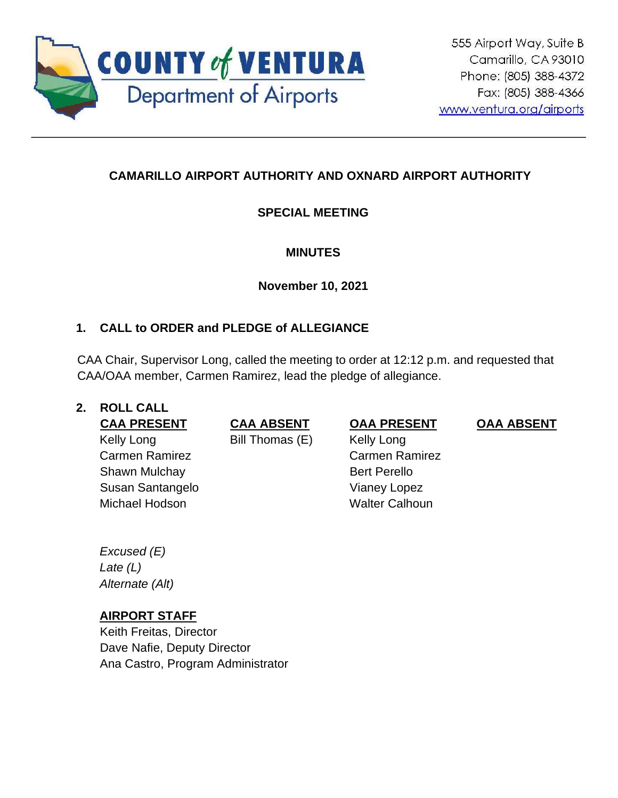

# **CAMARILLO AIRPORT AUTHORITY AND OXNARD AIRPORT AUTHORITY**

# **SPECIAL MEETING**

## **MINUTES**

**November 10, 2021**

# **1. CALL to ORDER and PLEDGE of ALLEGIANCE**

CAA Chair, Supervisor Long, called the meeting to order at 12:12 p.m. and requested that CAA/OAA member, Carmen Ramirez, lead the pledge of allegiance.

## **2. ROLL CALL**

Kelly Long Carmen Ramirez Shawn Mulchay Susan Santangelo Michael Hodson Walter Calhoun

Bill Thomas (E) Kelly Long

**CAA PRESENT CAA ABSENT OAA PRESENT OAA ABSENT**

Carmen Ramirez Bert Perello Vianey Lopez

*Excused (E) Late (L) Alternate (Alt)*

## **AIRPORT STAFF**

Keith Freitas, Director Dave Nafie, Deputy Director Ana Castro, Program Administrator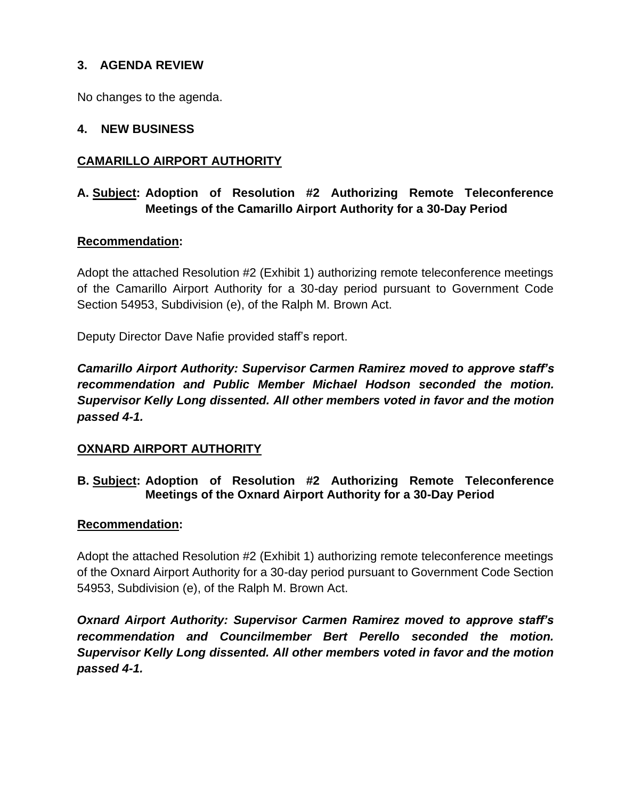### **3. AGENDA REVIEW**

No changes to the agenda.

#### **4. NEW BUSINESS**

### **CAMARILLO AIRPORT AUTHORITY**

## **A. Subject: Adoption of Resolution #2 Authorizing Remote Teleconference Meetings of the Camarillo Airport Authority for a 30-Day Period**

#### **Recommendation:**

Adopt the attached Resolution #2 (Exhibit 1) authorizing remote teleconference meetings of the Camarillo Airport Authority for a 30-day period pursuant to Government Code Section 54953, Subdivision (e), of the Ralph M. Brown Act.

Deputy Director Dave Nafie provided staff's report.

*Camarillo Airport Authority: Supervisor Carmen Ramirez moved to approve staff's recommendation and Public Member Michael Hodson seconded the motion. Supervisor Kelly Long dissented. All other members voted in favor and the motion passed 4-1.*

#### **OXNARD AIRPORT AUTHORITY**

### **B. Subject: Adoption of Resolution #2 Authorizing Remote Teleconference Meetings of the Oxnard Airport Authority for a 30-Day Period**

#### **Recommendation:**

Adopt the attached Resolution #2 (Exhibit 1) authorizing remote teleconference meetings of the Oxnard Airport Authority for a 30-day period pursuant to Government Code Section 54953, Subdivision (e), of the Ralph M. Brown Act.

*Oxnard Airport Authority: Supervisor Carmen Ramirez moved to approve staff's recommendation and Councilmember Bert Perello seconded the motion. Supervisor Kelly Long dissented. All other members voted in favor and the motion passed 4-1.*